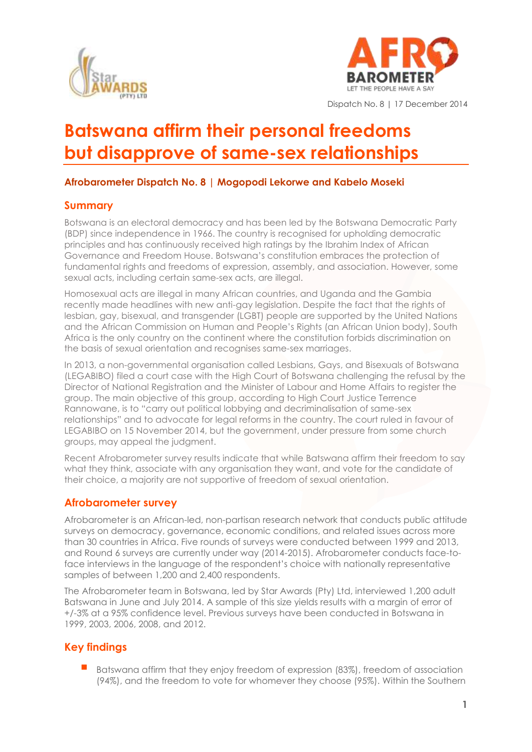



Dispatch No. 8 | 17 December 2014

# **Batswana affirm their personal freedoms but disapprove of same-sex relationships**

# **Afrobarometer Dispatch No. 8 | Mogopodi Lekorwe and Kabelo Moseki**

## **Summary**

Botswana is an electoral democracy and has been led by the Botswana Democratic Party (BDP) since independence in 1966. The country is recognised for upholding democratic principles and has continuously received high ratings by the Ibrahim Index of African Governance and Freedom House. Botswana's constitution embraces the protection of fundamental rights and freedoms of expression, assembly, and association. However, some sexual acts, including certain same-sex acts, are illegal.

Homosexual acts are illegal in many African countries, and Uganda and the Gambia recently made headlines with new anti-gay legislation. Despite the fact that the rights of lesbian, gay, bisexual, and transgender (LGBT) people are supported by the United Nations and the African Commission on Human and People's Rights (an African Union body), South Africa is the only country on the continent where the constitution forbids discrimination on the basis of sexual orientation and recognises same-sex marriages.

In 2013, a non-governmental organisation called Lesbians, Gays, and Bisexuals of Botswana (LEGABIBO) filed a court case with the High Court of Botswana challenging the refusal by the Director of National Registration and the Minister of Labour and Home Affairs to register the group. The main objective of this group, according to High Court Justice Terrence Rannowane, is to "carry out political lobbying and decriminalisation of same-sex relationships" and to advocate for legal reforms in the country. The court ruled in favour of LEGABIBO on 15 November 2014, but the government, under pressure from some church groups, may appeal the judgment.

Recent Afrobarometer survey results indicate that while Batswana affirm their freedom to say what they think, associate with any organisation they want, and vote for the candidate of their choice, a majority are not supportive of freedom of sexual orientation.

## **Afrobarometer survey**

Afrobarometer is an African-led, non-partisan research network that conducts public attitude surveys on democracy, governance, economic conditions, and related issues across more than 30 countries in Africa. Five rounds of surveys were conducted between 1999 and 2013, and Round 6 surveys are currently under way (2014-2015). Afrobarometer conducts face-toface interviews in the language of the respondent's choice with nationally representative samples of between 1,200 and 2,400 respondents.

The Afrobarometer team in Botswana, led by Star Awards (Pty) Ltd, interviewed 1,200 adult Batswana in June and July 2014. A sample of this size yields results with a margin of error of +/-3% at a 95% confidence level. Previous surveys have been conducted in Botswana in 1999, 2003, 2006, 2008, and 2012.

# **Key findings**

 Batswana affirm that they enjoy freedom of expression (83%), freedom of association (94%), and the freedom to vote for whomever they choose (95%). Within the Southern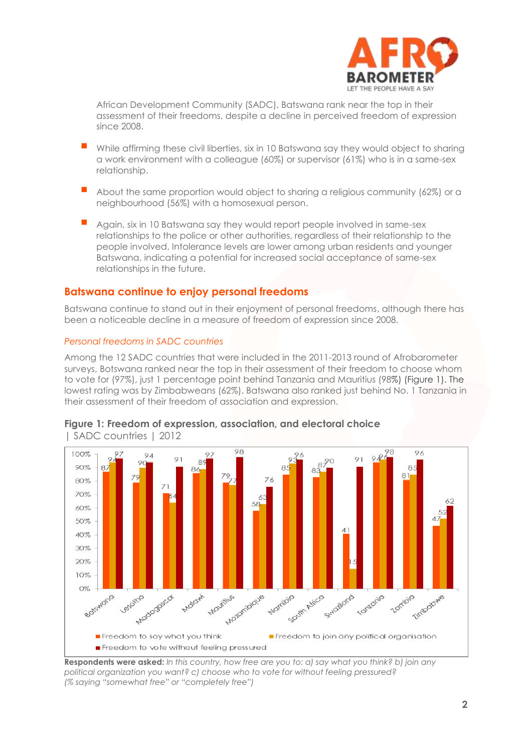

African Development Community (SADC), Batswana rank near the top in their assessment of their freedoms, despite a decline in perceived freedom of expression since 2008.

- While affirming these civil liberties, six in 10 Batswana say they would object to sharing a work environment with a colleague (60%) or supervisor (61%) who is in a same-sex relationship.
- About the same proportion would object to sharing a religious community (62%) or a neighbourhood (56%) with a homosexual person.
- Again, six in 10 Batswana say they would report people involved in same-sex relationships to the police or other authorities, regardless of their relationship to the people involved. Intolerance levels are lower among urban residents and younger Batswana, indicating a potential for increased social acceptance of same-sex relationships in the future.

# **Batswana continue to enjoy personal freedoms**

Batswana continue to stand out in their enjoyment of personal freedoms, although there has been a noticeable decline in a measure of freedom of expression since 2008.

#### *Personal freedoms in SADC countries*

Among the 12 SADC countries that were included in the 2011-2013 round of Afrobarometer surveys, Botswana ranked near the top in their assessment of their freedom to choose whom to vote for (97%), just 1 percentage point behind Tanzania and Mauritius (98%) (Figure 1). The lowest rating was by Zimbabweans (62%). Batswana also ranked just behind No. 1 Tanzania in their assessment of their freedom of association and expression.



#### **Figure 1: Freedom of expression, association, and electoral choice**  | SADC countries | 2012

**Respondents were asked:** *In this country, how free are you to: a) say what you think? b) join any political organization you want? c) choose who to vote for without feeling pressured? (% saying "somewhat free" or "completely free")*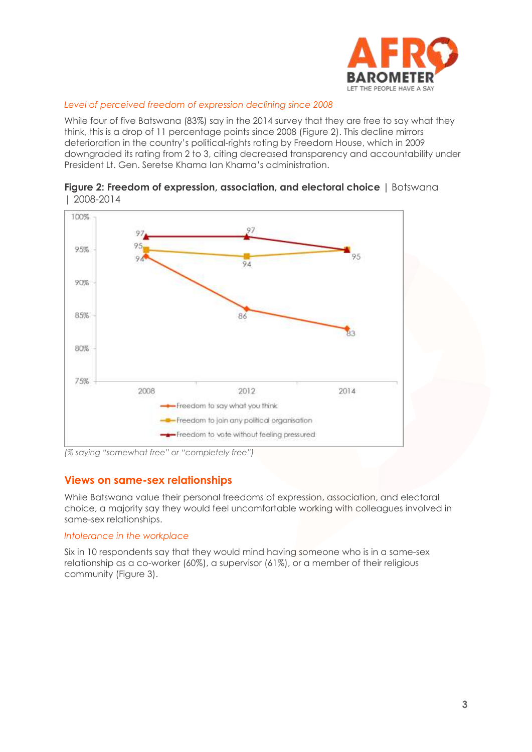

## *Level of perceived freedom of expression declining since 2008*

While four of five Batswana (83%) say in the 2014 survey that they are free to say what they think, this is a drop of 11 percentage points since 2008 (Figure 2). This decline mirrors deterioration in the country's political-rights rating by Freedom House, which in 2009 downgraded its rating from 2 to 3, citing decreased transparency and accountability under President Lt. Gen. Seretse Khama Ian Khama's administration.



#### **Figure 2: Freedom of expression, association, and electoral choice |** Botswana | 2008-2014

### **Views on same-sex relationships**

While Batswana value their personal freedoms of expression, association, and electoral choice, a majority say they would feel uncomfortable working with colleagues involved in same-sex relationships.

#### *Intolerance in the workplace*

Six in 10 respondents say that they would mind having someone who is in a same-sex relationship as a co-worker (60%), a supervisor (61%), or a member of their religious community (Figure 3).

*<sup>(%</sup> saying "somewhat free" or "completely free")*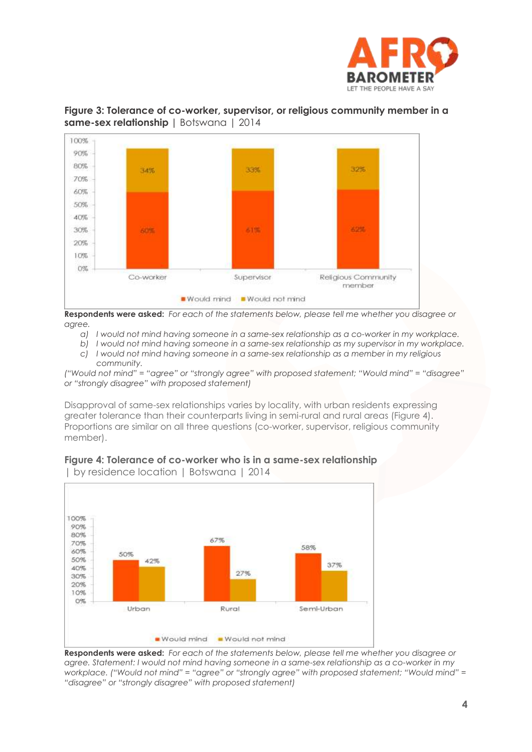





**Respondents were asked:** *For each of the statements below, please tell me whether you disagree or agree.*

- *a) I would not mind having someone in a same-sex relationship as a co-worker in my workplace.*
- *b) I would not mind having someone in a same-sex relationship as my supervisor in my workplace.*
- *c) I would not mind having someone in a same-sex relationship as a member in my religious community.*

*("Would not mind" = "agree" or "strongly agree" with proposed statement; "Would mind" = "disagree" or "strongly disagree" with proposed statement)*

Disapproval of same-sex relationships varies by locality, with urban residents expressing greater tolerance than their counterparts living in semi-rural and rural areas (Figure 4). Proportions are similar on all three questions (co-worker, supervisor, religious community member).



**Figure 4: Tolerance of co-worker who is in a same-sex relationship** 

**Respondents were asked:** *For each of the statements below, please tell me whether you disagree or agree. Statement: I would not mind having someone in a same-sex relationship as a co-worker in my workplace. ("Would not mind" = "agree" or "strongly agree" with proposed statement; "Would mind" = "disagree" or "strongly disagree" with proposed statement)*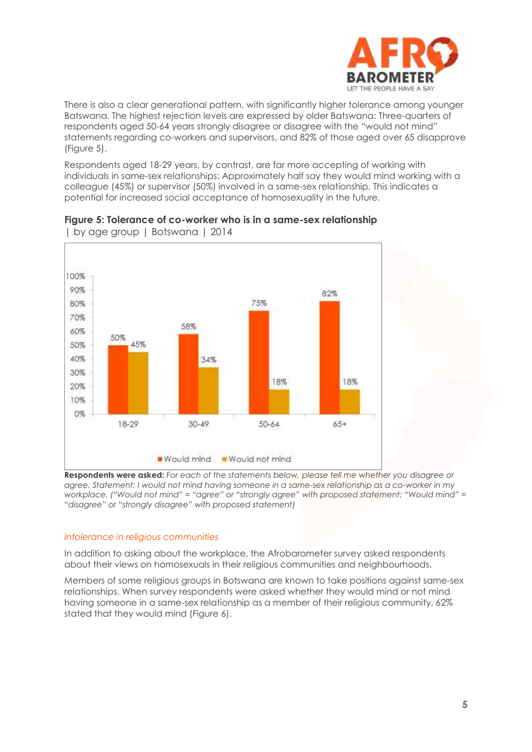

There is also a clear generational pattern, with significantly higher tolerance among younger Batswana. The highest rejection levels are expressed by older Batswana: Three-quarters of respondents aged 50-64 years strongly disagree or disagree with the "would not mind" statements regarding co-workers and supervisors, and 82% of those aged over 65 disapprove (Figure 5).

Respondents aged 18-29 years, by contrast, are far more accepting of working with individuals in same-sex relationships: Approximately half say they would mind working with a colleague (45%) or supervisor (50%) involved in a same-sex relationship. This indicates a potential for increased social acceptance of homosexuality in the future.



**Figure 5: Tolerance of co-worker who is in a same-sex relationship** 

**Respondents were asked:** *For each of the statements below, please tell me whether you disagree or agree. Statement: I would not mind having someone in a same-sex relationship as a co-worker in my workplace. ("Would not mind" = "agree" or "strongly agree" with proposed statement; "Would mind" = "disagree" or "strongly disagree" with proposed statement)*

## *Intolerance in religious communities*

| by age group | Botswana | 2014

In addition to asking about the workplace, the Afrobarometer survey asked respondents about their views on homosexuals in their religious communities and neighbourhoods.

Members of some religious groups in Botswana are known to take positions against same-sex relationships. When survey respondents were asked whether they would mind or not mind having someone in a same-sex relationship as a member of their religious community, 62% stated that they would mind (Figure 6).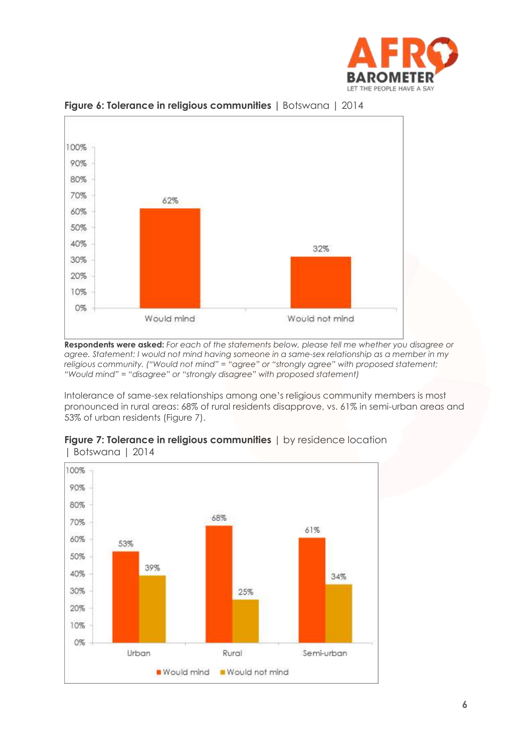



**Figure 6: Tolerance in religious communities |** Botswana | 2014

**Respondents were asked:** *For each of the statements below, please tell me whether you disagree or agree. Statement: I would not mind having someone in a same-sex relationship as a member in my religious community. ("Would not mind" = "agree" or "strongly agree" with proposed statement; "Would mind" = "disagree" or "strongly disagree" with proposed statement)*

Intolerance of same-sex relationships among one's religious community members is most pronounced in rural areas: 68% of rural residents disapprove, vs. 61% in semi-urban areas and 53% of urban residents (Figure 7).



**Figure 7: Tolerance in religious communities** | by residence location | Botswana | 2014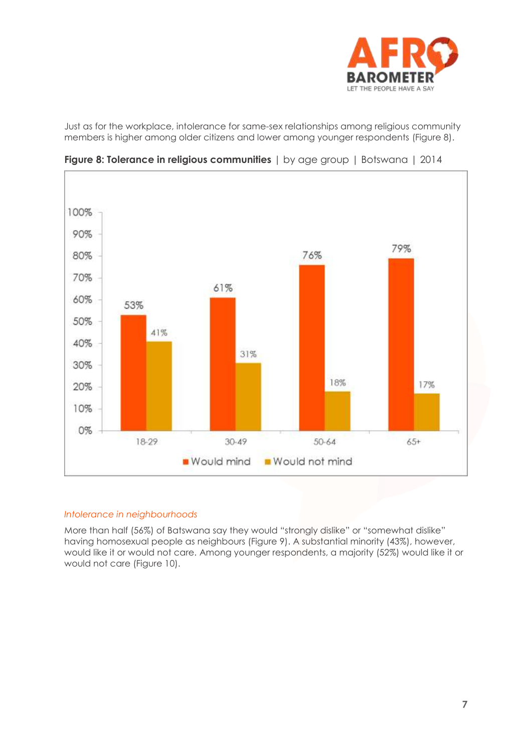

Just as for the workplace, intolerance for same-sex relationships among religious community members is higher among older citizens and lower among younger respondents (Figure 8).





#### *Intolerance in neighbourhoods*

More than half (56%) of Batswana say they would "strongly dislike" or "somewhat dislike" having homosexual people as neighbours (Figure 9). A substantial minority (43%), however, would like it or would not care. Among younger respondents, a majority (52%) would like it or would not care (Figure 10).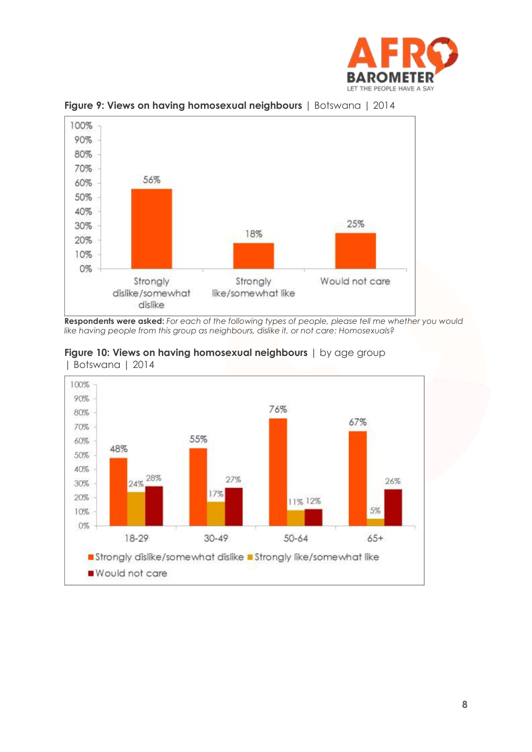



**Figure 9: Views on having homosexual neighbours** | Botswana | 2014

**Respondents were asked:** *For each of the following types of people, please tell me whether you would like having people from this group as neighbours, dislike it, or not care: Homosexuals?*



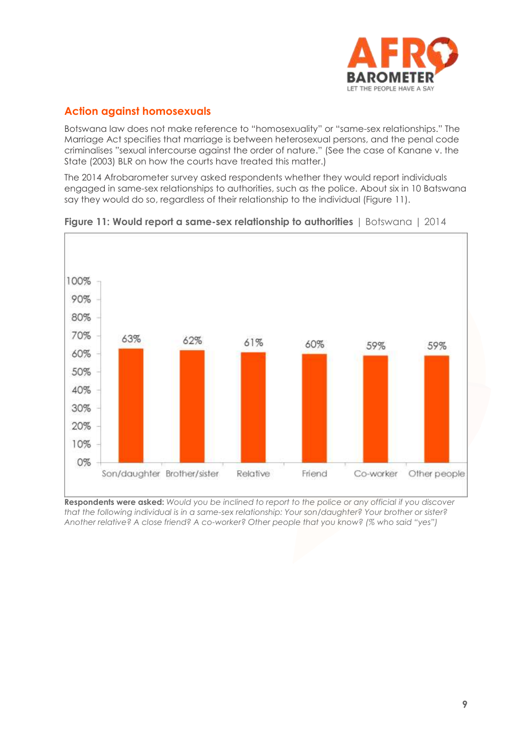

# **Action against homosexuals**

Botswana law does not make reference to "homosexuality" or "same-sex relationships." The Marriage Act specifies that marriage is between heterosexual persons, and the penal code criminalises "sexual intercourse against the order of nature." (See the case of Kanane v. the State (2003) BLR on how the courts have treated this matter.)

The 2014 Afrobarometer survey asked respondents whether they would report individuals engaged in same-sex relationships to authorities, such as the police. About six in 10 Batswana say they would do so, regardless of their relationship to the individual (Figure 11).



**Figure 11: Would report a same-sex relationship to authorities** | Botswana | 2014

**Respondents were asked:** *Would you be inclined to report to the police or any official if you discover that the following individual is in a same-sex relationship: Your son/daughter? Your brother or sister? Another relative? A close friend? A co-worker? Other people that you know? (% who said "yes")*